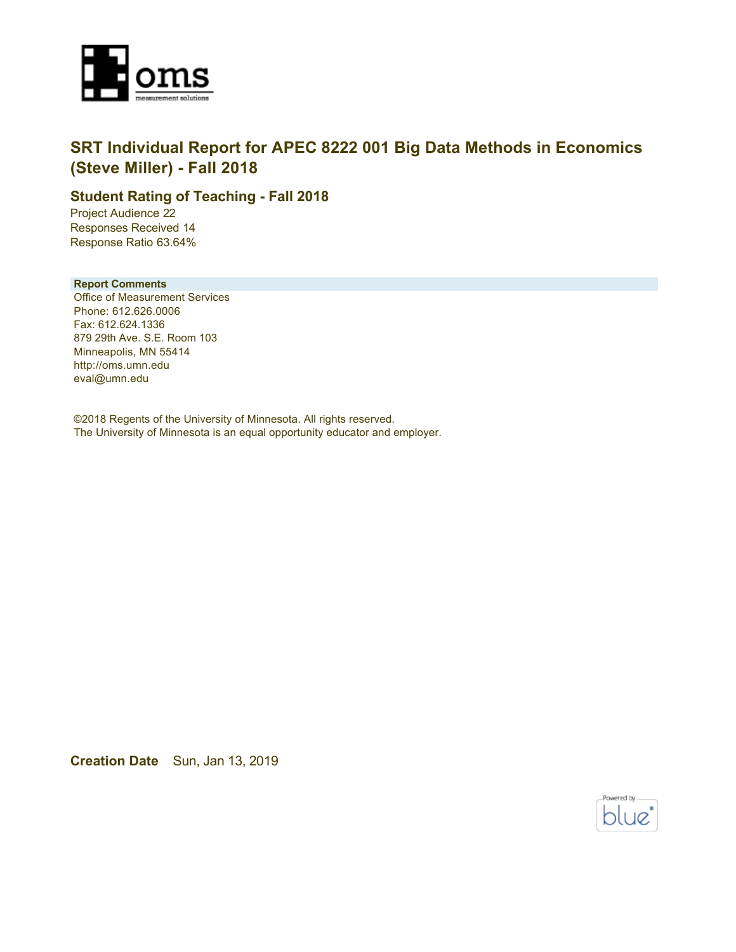

### **SRT Individual Report for APEC 8222 001 Big Data Methods in Economics (Steve Miller) - Fall 2018**

### **Student Rating of Teaching - Fall 2018**

Project Audience 22 Responses Received 14 Response Ratio 63.64%

#### **Report Comments**

Office of Measurement Services Phone: 612.626.0006 Fax: 612.624.1336 879 29th Ave. S.E. Room 103 Minneapolis, MN 55414 http://oms.umn.edu eval@umn.edu

©2018 Regents of the University of Minnesota. All rights reserved. The University of Minnesota is an equal opportunity educator and employer.

**Creation Date** Sun, Jan 13, 2019

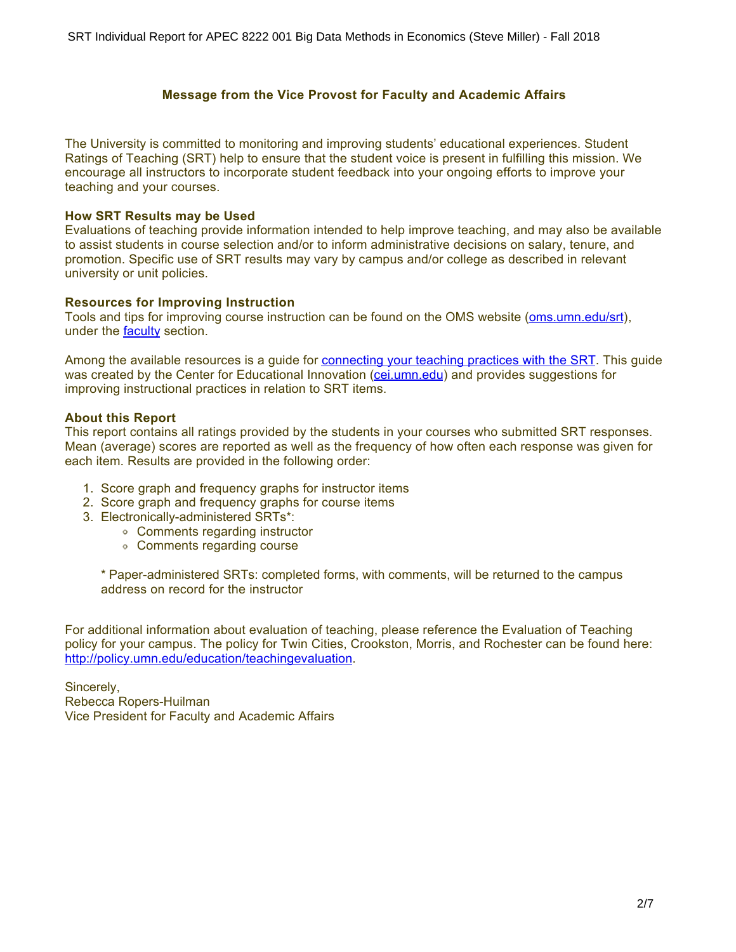### **Message from the Vice Provost for Faculty and Academic Affairs**

The University is committed to monitoring and improving students' educational experiences. Student Ratings of Teaching (SRT) help to ensure that the student voice is present in fulfilling this mission. We encourage all instructors to incorporate student feedback into your ongoing efforts to improve your teaching and your courses.

#### **How SRT Results may be Used**

Evaluations of teaching provide information intended to help improve teaching, and may also be available to assist students in course selection and/or to inform administrative decisions on salary, tenure, and promotion. Specific use of SRT results may vary by campus and/or college as described in relevant university or unit policies.

#### **Resources for Improving Instruction**

Tools and tips for improving course instruction can be found on the OMS website [\(oms.umn.edu/srt](https://oms.umn.edu/srt)), under the **faculty** section.

Among the available resources is a guide for [connecting your teaching practices with the SRT.](https://oms.umn.edu/departments/srt/links/SRT%20and%20Teaching.pdf) This guide was created by the Center for Educational Innovation [\(cei.umn.edu](https://cei.umn.edu/)) and provides suggestions for improving instructional practices in relation to SRT items.

### **About this Report**

This report contains all ratings provided by the students in your courses who submitted SRT responses. Mean (average) scores are reported as well as the frequency of how often each response was given for each item. Results are provided in the following order:

- 1. Score graph and frequency graphs for instructor items
- 2. Score graph and frequency graphs for course items
- 3. Electronically-administered SRTs\*:
	- Comments regarding instructor
	- Comments regarding course

\* Paper-administered SRTs: completed forms, with comments, will be returned to the campus address on record for the instructor

For additional information about evaluation of teaching, please reference the Evaluation of Teaching policy for your campus. The policy for Twin Cities, Crookston, Morris, and Rochester can be found here: <http://policy.umn.edu/education/teachingevaluation>.

Sincerely, Rebecca Ropers-Huilman Vice President for Faculty and Academic Affairs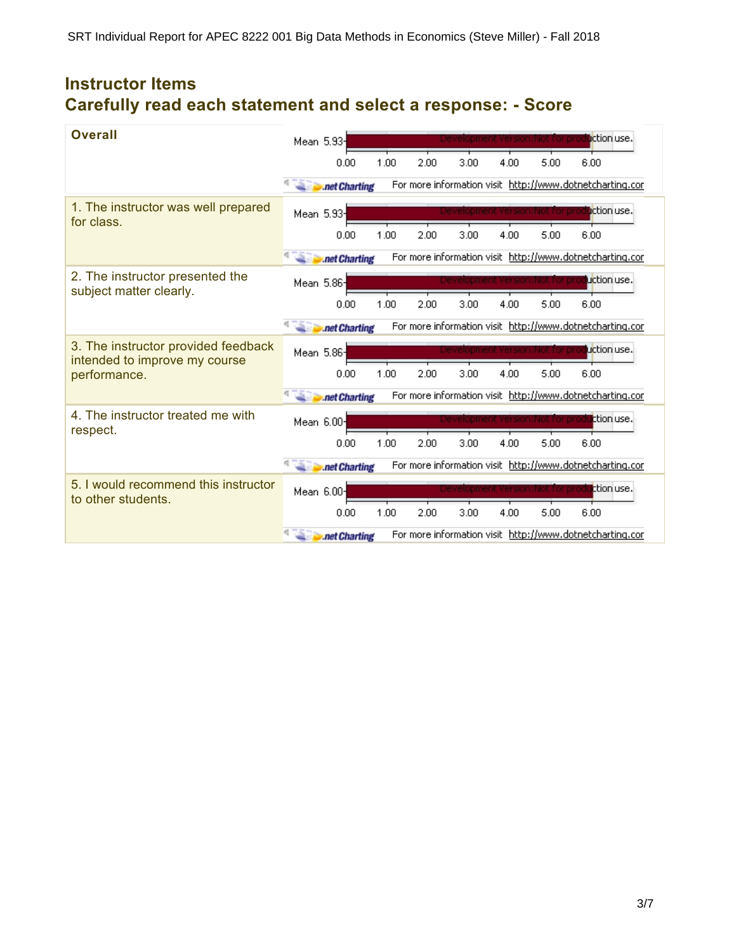# **Instructor Items Carefully read each statement and select a response: - Score**

| <b>Overall</b>                                                       | Mean 5.93- |               |      |      |      |      |                                 | <b>u</b> ction use.                                      |
|----------------------------------------------------------------------|------------|---------------|------|------|------|------|---------------------------------|----------------------------------------------------------|
|                                                                      |            | 0.00          | 1.00 | 2.00 | 3.00 | 4.00 | 5.00                            | 6.00                                                     |
|                                                                      |            | .net Charting |      |      |      |      |                                 | For more information visit http://www.dotnetcharting.cor |
| 1. The instructor was well prepared<br>for class.                    | Mean 5.93- |               |      |      |      |      |                                 | <b>li</b> ction use.                                     |
|                                                                      |            | 0.00          | 1.00 | 2.00 | 3.00 | 4.00 | 5.00                            | 6.00                                                     |
|                                                                      |            | .net Charting |      |      |      |      |                                 | For more information visit http://www.dotnetcharting.cor |
| 2. The instructor presented the<br>subject matter clearly.           | Mean 5.86- |               |      |      |      |      | levelopment Version: Not hor pr | uction use.                                              |
|                                                                      |            | 0.00          | 1.00 | 2.00 | 3.00 | 4.00 | 5.00                            | 6.00                                                     |
|                                                                      |            | .net Charting |      |      |      |      |                                 | For more information visit http://www.dotnetcharting.cor |
| 3. The instructor provided feedback<br>intended to improve my course | Mean 5.86- |               |      |      |      |      |                                 | uction use.                                              |
| performance.                                                         |            | 0.00          | 1.00 | 2.00 | 3.00 | 4.00 | 5.00                            | 6.00                                                     |
|                                                                      |            | .net Charting |      |      |      |      |                                 | For more information visit http://www.dotnetcharting.cor |
| 4. The instructor treated me with<br>respect.                        | Mean 6.00- |               |      |      |      |      | inot for pro                    | ttion use.                                               |
|                                                                      |            | 0.00          | 1.00 | 2.00 | 3.00 | 4.00 | 5.00                            | 6.00                                                     |
|                                                                      |            | .net Charting |      |      |      |      |                                 | For more information visit http://www.dotnetcharting.cor |
| 5. I would recommend this instructor<br>to other students.           | Mean 6.00- |               |      |      |      |      |                                 | ttion use.                                               |
|                                                                      |            | 0.00          | 1.00 | 2.00 | 3.00 | 4.00 | 5.00                            | 6.00                                                     |
|                                                                      |            | .net Charting |      |      |      |      |                                 | For more information visit http://www.dotnetcharting.cor |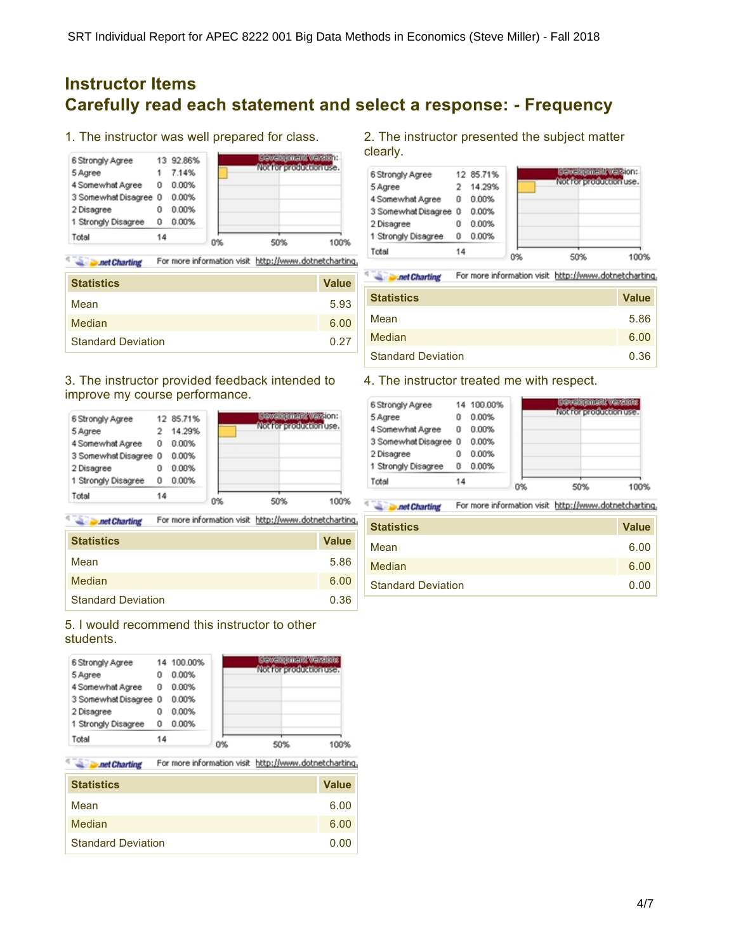## **Instructor Items Carefully read each statement and select a response: - Frequency**

1. The instructor was well prepared for class.



**Charting** For more information visit http://www.dotnetcharting.

| <b>Statistics</b>         | <b>Value</b> |
|---------------------------|--------------|
| Mean                      | 5.93         |
| Median                    | 6.00         |
| <b>Standard Deviation</b> | 0.27         |

### 3. The instructor provided feedback intended to improve my course performance.

| Total                 | 14 |           | O% | 50%                                                     | 100% |
|-----------------------|----|-----------|----|---------------------------------------------------------|------|
| 1 Strongly Disagree   | Û  | 0.00%     |    |                                                         |      |
| 2 Disagree            | ۵  | 0.00%     |    |                                                         |      |
| 3 Somewhat Disagree 0 |    | 0.00%     |    |                                                         |      |
| 4 Somewhat Agree      | 0  | 0.00%     |    |                                                         |      |
| 5 Agree               |    | 14.29%    |    |                                                         |      |
| 6 Strongly Agree      |    | 12 85.71% |    | <b>Cewabremark warsion:</b><br>Mobilian production use. |      |

**Second Charting** For more information visit http://www.dotnetcharting.

| <b>Statistics</b>         | <b>Value</b> |
|---------------------------|--------------|
| Mean                      | 5.86         |
| Median                    | 6.00         |
| <b>Standard Deviation</b> | 0.36         |

### 5. I would recommend this instructor to other students.



¢ For more information visit http://www.dotnetcharting. **Det Charting** 

| <b>Statistics</b>         | <b>Value</b> |
|---------------------------|--------------|
| Mean                      | 6.00         |
| Median                    | 6.00         |
| <b>Standard Deviation</b> | 0.00         |

2. The instructor presented the subject matter clearly.



**All Punet Charting** For more information visit http://www.dotnetcharting.

| <b>Statistics</b>         | <b>Value</b> |
|---------------------------|--------------|
| Mean                      | 5.86         |
| Median                    | 6.00         |
| <b>Standard Deviation</b> | 0.36         |

### 4. The instructor treated me with respect.

| Total                 | 14 |            | 0% | 50%<br>OOS                                                   |
|-----------------------|----|------------|----|--------------------------------------------------------------|
| 1 Strongly Disagree   | Û  | 0.00%      |    |                                                              |
| 2 Disagree            | ۵  | 0.00%      |    |                                                              |
| 3 Somewhat Disagree 0 |    | 0.00%      |    |                                                              |
| 4 Somewhat Agree      | ū  | 0.00%      |    |                                                              |
| 5 Agree               | ο  | 0.00%      |    |                                                              |
| 6 Strongly Agree      |    | 14 100.00% |    | <b>Cowabremark Varsions</b><br><u>Mohlingerodustingunsen</u> |

**Second Charting** For more information visit http://www.dotnetcharting.

| <b>Statistics</b>         | <b>Value</b> |
|---------------------------|--------------|
| Mean                      | 6.00         |
| Median                    | 6.00         |
| <b>Standard Deviation</b> | 0.00         |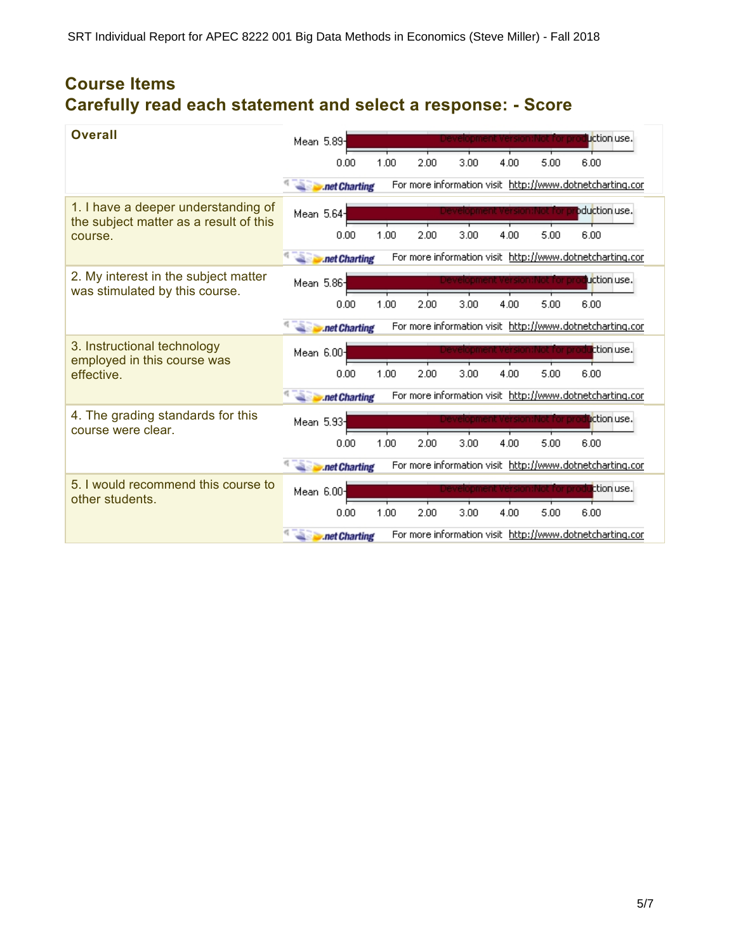# **Course Items Carefully read each statement and select a response: - Score**

| <b>Overall</b>                                                                | Mean 5.89- |               |      |      |      |      |                               | Liction use.                                             |
|-------------------------------------------------------------------------------|------------|---------------|------|------|------|------|-------------------------------|----------------------------------------------------------|
|                                                                               |            | 0.00          | 1.00 | 2.00 | 3.00 | 4.00 | 5.00                          | 6.00                                                     |
|                                                                               |            | .net Charting |      |      |      |      |                               | For more information visit http://www.dotnetcharting.cor |
| 1. I have a deeper understanding of<br>the subject matter as a result of this | Mean 5.64- |               |      |      |      |      |                               | bduction use.                                            |
| course.                                                                       |            | 0.00          | 1.00 | 2.00 | 3.00 | 4.00 | 5.00                          | 6.00                                                     |
|                                                                               |            | .net Charting |      |      |      |      |                               | For more information visit http://www.dotnetcharting.cor |
| 2. My interest in the subject matter<br>was stimulated by this course.        | Mean 5.86  |               |      |      |      |      | evelopment Version:Not for pr | uction use.                                              |
|                                                                               |            | 0.00          | 1.00 | 2.00 | 3.00 | 4.00 | 5.00                          | 6.00                                                     |
|                                                                               |            | .net Charting |      |      |      |      |                               | For more information visit http://www.dotnetcharting.cor |
| 3. Instructional technology<br>employed in this course was                    | Mean 6.00- |               |      |      |      |      |                               | ttion use.                                               |
| effective.                                                                    |            | 0.00          | 1.00 | 2.00 | 3.00 | 4.00 | 5.00                          | 6.00                                                     |
|                                                                               |            | .net Charting |      |      |      |      |                               | For more information visit http://www.dotnetcharting.cor |
| 4. The grading standards for this<br>course were clear.                       | Mean 5.93- |               |      |      |      |      | inot for pri                  | <b>li</b> ction use.                                     |
|                                                                               |            | 0.00          | 1.00 | 2.00 | 3.00 | 4.00 | 5.00                          | 6.00                                                     |
|                                                                               |            | .net Charting |      |      |      |      |                               | For more information visit http://www.dotnetcharting.cor |
| 5. I would recommend this course to<br>other students.                        | Mean 6.00- |               |      |      |      |      |                               | ttion use.                                               |
|                                                                               |            | 0.00          | 1.00 | 2.00 | 3.00 | 4.00 | 5.00                          | 6.00                                                     |
|                                                                               |            | .net Charting |      |      |      |      |                               | For more information visit http://www.dotnetcharting.cor |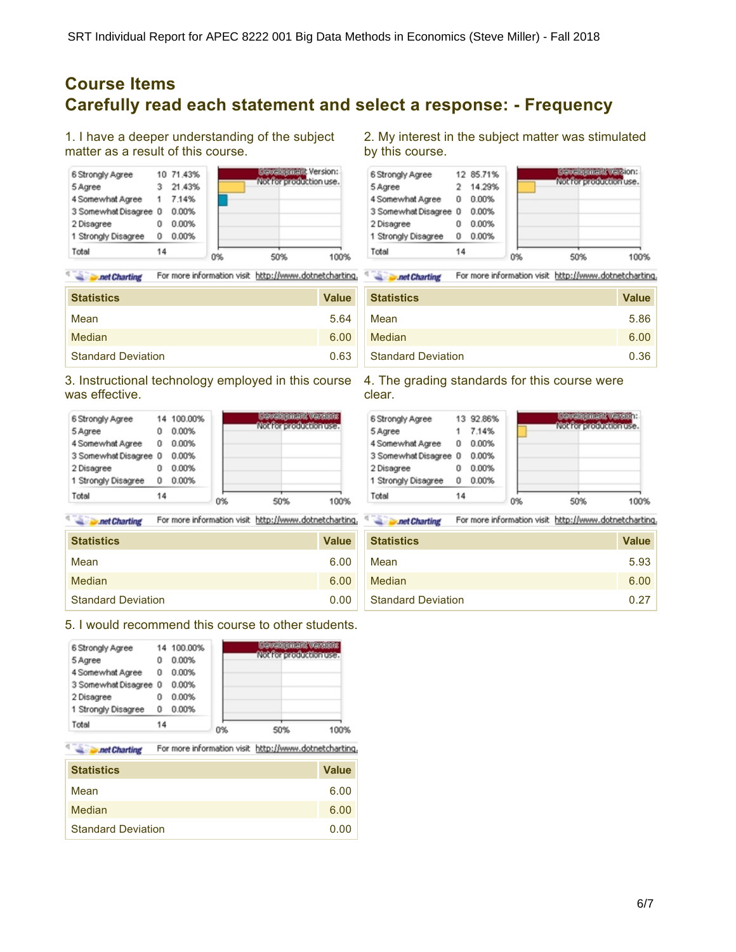### **Course Items Carefully read each statement and select a response: - Frequency**

1. I have a deeper understanding of the subject matter as a result of this course.



¢ **All Punet Charting** For more information visit http://www.dotnetcharting.

| <b>Statistics</b>         | <b>Value</b> |
|---------------------------|--------------|
| Mean                      | 5.64         |
| Median                    | 6.00         |
| <b>Standard Deviation</b> | 0.63         |

3. Instructional technology employed in this course was effective.

| 3 Somewhat Disagree 0<br>2 Disagree | 0  | 0.00%<br>0.00% |  |
|-------------------------------------|----|----------------|--|
| 1 Strongly Disagree                 | O  | 0.00%          |  |
| Total                               | 14 |                |  |

**Second Charting** For more information visit http://www.dotnetcharting.

| <b>Statistics</b>         | <b>Value</b> |
|---------------------------|--------------|
| Mean                      | 6.00         |
| Median                    | 6.00         |
| <b>Standard Deviation</b> | 0.00         |

5. I would recommend this course to other students.

| 1 Strongly Disagree<br>Total | O<br>14 | 0.00%      | O% | 50%<br>100%                   |
|------------------------------|---------|------------|----|-------------------------------|
| 2 Disagree                   | 0       | 0.00%      |    |                               |
| 3 Somewhat Disagree 0        |         | 0.00%      |    |                               |
| 4 Somewhat Agree             | 0       | 0.00%      |    |                               |
| 5 Agree                      | 0       | 0.00%      |    | <b>Mobile productionus an</b> |
| 6 Strongly Agree             |         | 14 100.00% |    | <b>Cowabjemark warshing</b>   |

For more information visit http://www.dotnetcharting. **Det Charting** 

| <b>Statistics</b>         | <b>Value</b> |
|---------------------------|--------------|
| Mean                      | 6.00         |
| <b>Median</b>             | 6.00         |
| <b>Standard Deviation</b> | 0.00         |

2. My interest in the subject matter was stimulated by this course.



**Separate Charting** For more information visit http://www.dotnetcharting.

| <b>Statistics</b>         | <b>Value</b> |
|---------------------------|--------------|
| Mean                      | 5.86         |
| Median                    | 6.00         |
| <b>Standard Deviation</b> | 0.36         |

4. The grading standards for this course were clear.



**Separate Charting** For more information visit http://www.dotnetcharting.

| <b>Statistics</b>         | <b>Value</b> |
|---------------------------|--------------|
| Mean                      | 5.93         |
| Median                    | 6.00         |
| <b>Standard Deviation</b> | 0.27         |